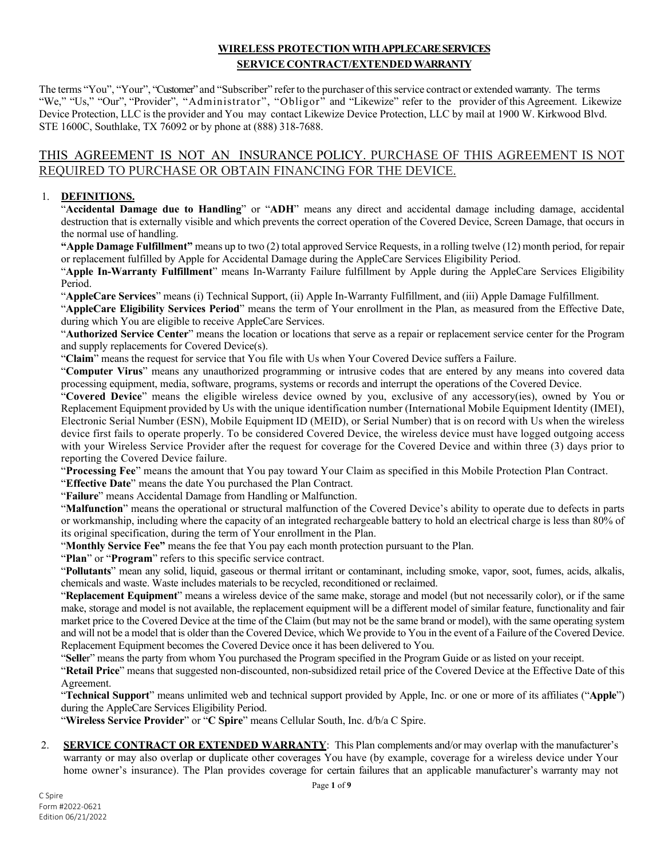# **WIRELESS PROTECTION WITH APPLECARE SERVICES SERVICE CONTRACT/EXTENDED WARRANTY**

The terms "You", "Your", "Customer" and "Subscriber" refer to the purchaser of thisservice contract or extended warranty. The terms "We," "Us," "Our", "Provider", "Administrator", "Obligor" and "Likewize" refer to the provider of this Agreement. Likewize Device Protection, LLC is the provider and You may contact Likewize Device Protection, LLC by mail at 1900 W. Kirkwood Blvd. STE 1600C, Southlake, TX 76092 or by phone at (888) 318-7688.

# THIS AGREEMENT IS NOT AN INSURANCE POLICY. PURCHASE OF THIS AGREEMENT IS NOT REQUIRED TO PURCHASE OR OBTAIN FINANCING FOR THE DEVICE.

## 1. **DEFINITIONS.**

"**Accidental Damage due to Handling**" or "**ADH**" means any direct and accidental damage including damage, accidental destruction that is externally visible and which prevents the correct operation of the Covered Device, Screen Damage, that occurs in the normal use of handling.

**"Apple Damage Fulfillment"** means up to two (2) total approved Service Requests, in a rolling twelve (12) month period, for repair or replacement fulfilled by Apple for Accidental Damage during the AppleCare Services Eligibility Period.

"**Apple In-Warranty Fulfillment**" means In-Warranty Failure fulfillment by Apple during the AppleCare Services Eligibility Period.

"**AppleCare Services**" means (i) Technical Support, (ii) Apple In-Warranty Fulfillment, and (iii) Apple Damage Fulfillment.

"**AppleCare Eligibility Services Period**" means the term of Your enrollment in the Plan, as measured from the Effective Date, during which You are eligible to receive AppleCare Services.

"**Authorized Service Center**" means the location or locations that serve as a repair or replacement service center for the Program and supply replacements for Covered Device(s).

"**Claim**" means the request for service that You file with Us when Your Covered Device suffers a Failure.

"**Computer Virus**" means any unauthorized programming or intrusive codes that are entered by any means into covered data processing equipment, media, software, programs, systems or records and interrupt the operations of the Covered Device.

"**Covered Device**" means the eligible wireless device owned by you, exclusive of any accessory(ies), owned by You or Replacement Equipment provided by Us with the unique identification number (International Mobile Equipment Identity (IMEI), Electronic Serial Number (ESN), Mobile Equipment ID (MEID), or Serial Number) that is on record with Us when the wireless device first fails to operate properly. To be considered Covered Device, the wireless device must have logged outgoing access with your Wireless Service Provider after the request for coverage for the Covered Device and within three (3) days prior to reporting the Covered Device failure.

"**Processing Fee**" means the amount that You pay toward Your Claim as specified in this Mobile Protection Plan Contract.

"**Effective Date**" means the date You purchased the Plan Contract.

"**Failure**" means Accidental Damage from Handling or Malfunction.

"**Malfunction**" means the operational or structural malfunction of the Covered Device's ability to operate due to defects in parts or workmanship, including where the capacity of an integrated rechargeable battery to hold an electrical charge is less than 80% of its original specification, during the term of Your enrollment in the Plan.

"**Monthly Service Fee"** means the fee that You pay each month protection pursuant to the Plan.

"**Plan**" or "**Program**" refers to this specific service contract.

"**Pollutants**" mean any solid, liquid, gaseous or thermal irritant or contaminant, including smoke, vapor, soot, fumes, acids, alkalis, chemicals and waste. Waste includes materials to be recycled, reconditioned or reclaimed.

"**Replacement Equipment**" means a wireless device of the same make, storage and model (but not necessarily color), or if the same make, storage and model is not available, the replacement equipment will be a different model of similar feature, functionality and fair market price to the Covered Device at the time of the Claim (but may not be the same brand or model), with the same operating system and will not be a model that is older than the Covered Device, which We provide to You in the event of a Failure of the Covered Device. Replacement Equipment becomes the Covered Device once it has been delivered to You.

"**Selle**r" means the party from whom You purchased the Program specified in the Program Guide or as listed on your receipt.

"**Retail Price**" means that suggested non-discounted, non-subsidized retail price of the Covered Device at the Effective Date of this Agreement.

"**Technical Support**" means unlimited web and technical support provided by Apple, Inc. or one or more of its affiliates ("**Apple**") during the AppleCare Services Eligibility Period.

"Wireless Service Provider" or "C Spire" means Cellular South, Inc. d/b/a C Spire.

2. **SERVICE CONTRACT OR EXTENDED WARRANTY**: This Plan complements and/or may overlap with the manufacturer's warranty or may also overlap or duplicate other coverages You have (by example, coverage for a wireless device under Your home owner's insurance). The Plan provides coverage for certain failures that an applicable manufacturer's warranty may not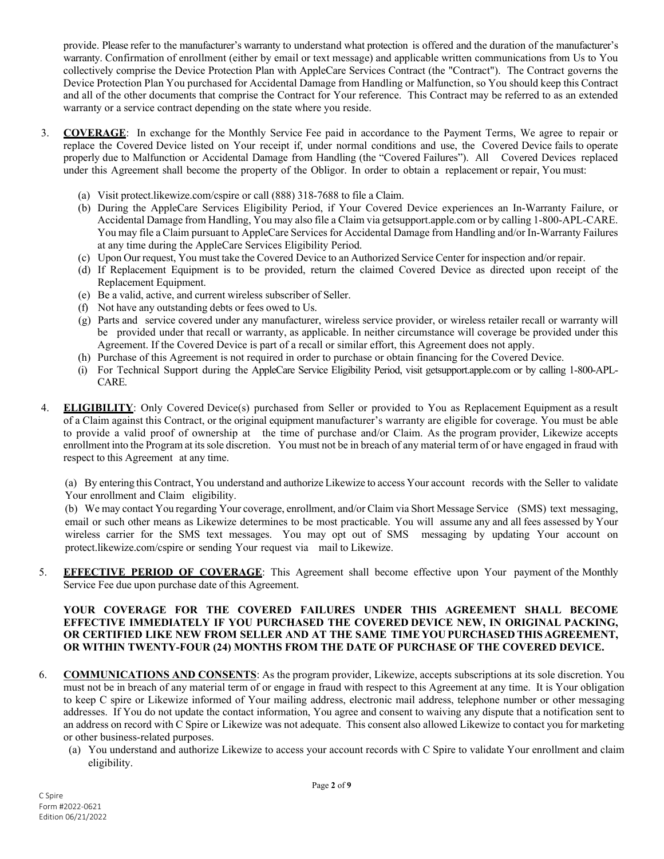provide. Please refer to the manufacturer's warranty to understand what protection is offered and the duration of the manufacturer's warranty. Confirmation of enrollment (either by email or text message) and applicable written communications from Us to You collectively comprise the Device Protection Plan with AppleCare Services Contract (the "Contract"). The Contract governs the Device Protection Plan You purchased for Accidental Damage from Handling or Malfunction, so You should keep this Contract and all of the other documents that comprise the Contract for Your reference. This Contract may be referred to as an extended warranty or a service contract depending on the state where you reside.

- 3. **COVERAGE**: In exchange for the Monthly Service Fee paid in accordance to the Payment Terms, We agree to repair or replace the Covered Device listed on Your receipt if, under normal conditions and use, the Covered Device fails to operate properly due to Malfunction or Accidental Damage from Handling (the "Covered Failures"). All Covered Devices replaced under this Agreement shall become the property of the Obligor. In order to obtain a replacement or repair, You must:
	- (a) Visit protect.likewize.com/cspire or call (888) 318-7688 to file a Claim.
	- (b) During the AppleCare Services Eligibility Period, if Your Covered Device experiences an In-Warranty Failure, or Accidental Damage from Handling, You may also file a Claim via getsupport.apple.com or by calling 1-800-APL-CARE. You may file a Claim pursuant to AppleCare Services for Accidental Damage from Handling and/or In-Warranty Failures at any time during the AppleCare Services Eligibility Period.
	- (c) Upon Our request, You must take the Covered Device to an Authorized Service Center for inspection and/or repair.
	- (d) If Replacement Equipment is to be provided, return the claimed Covered Device as directed upon receipt of the Replacement Equipment.
	- (e) Be a valid, active, and current wireless subscriber of Seller.
	- (f) Not have any outstanding debts or fees owed to Us.
	- (g) Parts and service covered under any manufacturer, wireless service provider, or wireless retailer recall or warranty will be provided under that recall or warranty, as applicable. In neither circumstance will coverage be provided under this Agreement. If the Covered Device is part of a recall or similar effort, this Agreement does not apply.
	- (h) Purchase of this Agreement is not required in order to purchase or obtain financing for the Covered Device.
	- (i) For Technical Support during the AppleCare Service Eligibility Period, visit getsupport.apple.com or by calling 1-800-APL-CARE.
- 4. **ELIGIBILITY**: Only Covered Device(s) purchased from Seller or provided to You as Replacement Equipment as a result of a Claim against this Contract, or the original equipment manufacturer's warranty are eligible for coverage. You must be able to provide a valid proof of ownership at the time of purchase and/or Claim. As the program provider, Likewize accepts enrollment into the Program at itssole discretion. You must not be in breach of any material term of or have engaged in fraud with respect to this Agreement at any time.

(a) By entering this Contract, You understand and authorize Likewize to access Your account records with the Seller to validate Your enrollment and Claim eligibility.

(b) We may contact You regarding Your coverage, enrollment, and/or Claim via Short Message Service (SMS) text messaging, email or such other means as Likewize determines to be most practicable. You will assume any and all fees assessed by Your wireless carrier for the SMS text messages. You may opt out of SMS messaging by updating Your account on protect.likewize.com/cspire or sending Your request via mail to Likewize.

5. **EFFECTIVE PERIOD OF COVERAGE**: This Agreement shall become effective upon Your payment of the Monthly Service Fee due upon purchase date of this Agreement.

### **YOUR COVERAGE FOR THE COVERED FAILURES UNDER THIS AGREEMENT SHALL BECOME EFFECTIVE IMMEDIATELY IF YOU PURCHASED THE COVERED DEVICE NEW, IN ORIGINAL PACKING, OR CERTIFIED LIKE NEW FROM SELLER AND AT THE SAME TIME YOU PURCHASED THIS AGREEMENT, OR WITHIN TWENTY-FOUR (24) MONTHS FROM THE DATE OF PURCHASE OF THE COVERED DEVICE.**

- 6. **COMMUNICATIONS AND CONSENTS**: As the program provider, Likewize, accepts subscriptions at its sole discretion. You must not be in breach of any material term of or engage in fraud with respect to this Agreement at any time. It is Your obligation to keep C spire or Likewize informed of Your mailing address, electronic mail address, telephone number or other messaging addresses. If You do not update the contact information, You agree and consent to waiving any dispute that a notification sent to an address on record with C Spire or Likewize was not adequate. This consent also allowed Likewize to contact you for marketing or other business-related purposes.
	- (a) You understand and authorize Likewize to access your account records with C Spire to validate Your enrollment and claim eligibility.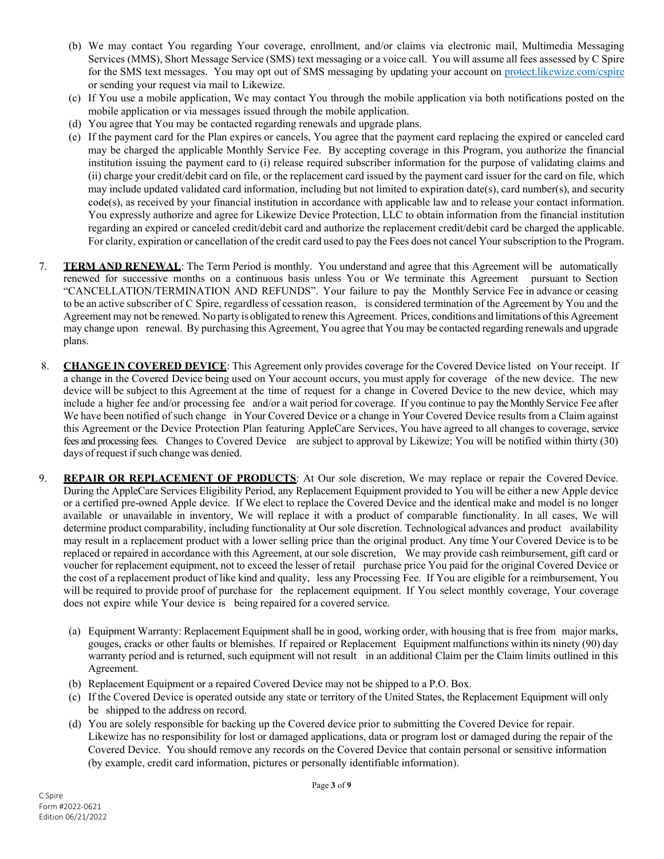- (b) We may contact You regarding Your coverage, enrollment, and/or claims via electronic mail, Multimedia Messaging Services (MMS), Short Message Service (SMS) text messaging or a voice call. You will assume all fees assessed by C Spire for the SMS text messages. You may opt out of SMS messaging by updating your account on protect.likewize.com/cspire or sending your request via mail to Likewize.
- (c) If You use a mobile application, We may contact You through the mobile application via both notifications posted on the mobile application or via messages issued through the mobile application.
- (d) You agree that You may be contacted regarding renewals and upgrade plans.
- (e) If the payment card for the Plan expires or cancels, You agree that the payment card replacing the expired or canceled card may be charged the applicable Monthly Service Fee. By accepting coverage in this Program, you authorize the financial institution issuing the payment card to (i) release required subscriber information for the purpose of validating claims and (ii) charge your credit/debit card on file, or the replacement card issued by the payment card issuer for the card on file, which may include updated validated card information, including but not limited to expiration date(s), card number(s), and security code(s), as received by your financial institution in accordance with applicable law and to release your contact information. You expressly authorize and agree for Likewize Device Protection, LLC to obtain information from the financial institution regarding an expired or canceled credit/debit card and authorize the replacement credit/debit card be charged the applicable. For clarity, expiration or cancellation of the credit card used to pay the Fees does not cancel Your subscription to the Program.
- 7. **TERM AND RENEWAL**: The Term Period is monthly. You understand and agree that this Agreement will be automatically renewed for successive months on a continuous basis unless You or We terminate this Agreement pursuant to Section "CANCELLATION/TERMINATION AND REFUNDS". Your failure to pay the Monthly Service Fee in advance or ceasing to be an active subscriber of C Spire, regardless of cessation reason, is considered termination of the Agreement by You and the Agreement may not be renewed. No party is obligated to renew this Agreement. Prices, conditions and limitations ofthis Agreement may change upon renewal. By purchasing this Agreement, You agree that You may be contacted regarding renewals and upgrade plans.
- 8. **CHANGE IN COVERED DEVICE**: This Agreement only provides coverage for the Covered Device listed on Your receipt. If a change in the Covered Device being used on Your account occurs, you must apply for coverage of the new device. The new device will be subject to this Agreement at the time of request for a change in Covered Device to the new device, which may include a higher fee and/or processing fee and/or a wait period for coverage. If you continue to pay the Monthly Service Fee after We have been notified of such change in Your Covered Device or a change in Your Covered Device results from a Claim against this Agreement or the Device Protection Plan featuring AppleCare Services, You have agreed to all changes to coverage, service fees and processing fees. Changes to Covered Device are subject to approval by Likewize; You will be notified within thirty (30) days of request if such change was denied.
- 9. **REPAIR OR REPLACEMENT OF PRODUCTS**: At Our sole discretion, We may replace or repair the Covered Device. During the AppleCare Services Eligibility Period, any Replacement Equipment provided to You will be either a new Apple device or a certified pre-owned Apple device. If We elect to replace the Covered Device and the identical make and model is no longer available or unavailable in inventory, We will replace it with a product of comparable functionality. In all cases, We will determine product comparability, including functionality at Our sole discretion. Technological advances and product availability may result in a replacement product with a lower selling price than the original product. Any time Your Covered Device is to be replaced or repaired in accordance with this Agreement, at our sole discretion, We may provide cash reimbursement, gift card or voucher for replacement equipment, not to exceed the lesser of retail purchase price You paid for the original Covered Device or the cost of a replacement product of like kind and quality, less any Processing Fee. If You are eligible for a reimbursement, You will be required to provide proof of purchase for the replacement equipment. If You select monthly coverage, Your coverage does not expire while Your device is being repaired for a covered service.
	- (a) Equipment Warranty: Replacement Equipment shall be in good, working order, with housing that is free from major marks, gouges, cracks or other faults or blemishes. If repaired or Replacement Equipment malfunctions within its ninety (90) day warranty period and is returned, such equipment will not result in an additional Claim per the Claim limits outlined in this Agreement.
	- (b) Replacement Equipment or a repaired Covered Device may not be shipped to a P.O. Box.
	- (c) If the Covered Device is operated outside any state or territory of the United States, the Replacement Equipment will only be shipped to the address on record.
	- (d) You are solely responsible for backing up the Covered device prior to submitting the Covered Device for repair. Likewize has no responsibility for lost or damaged applications, data or program lost or damaged during the repair of the Covered Device. You should remove any records on the Covered Device that contain personal or sensitive information (by example, credit card information, pictures or personally identifiable information).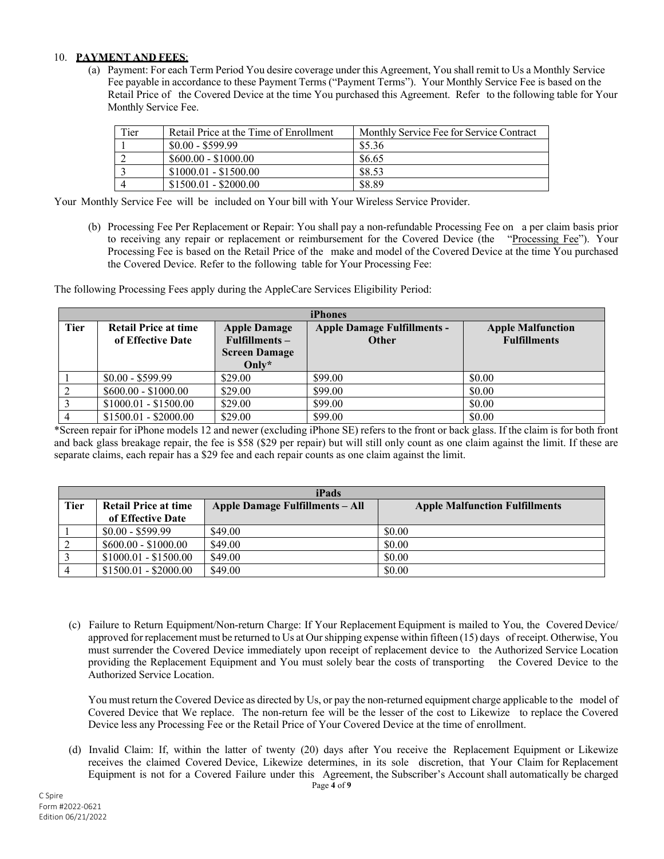## 10. **PAYMENT AND FEES**:

(a) Payment: For each Term Period You desire coverage under this Agreement, You shall remit to Us a Monthly Service Fee payable in accordance to these Payment Terms ("Payment Terms"). Your Monthly Service Fee is based on the Retail Price of the Covered Device at the time You purchased this Agreement. Refer to the following table for Your Monthly Service Fee.

| Tier | Retail Price at the Time of Enrollment | Monthly Service Fee for Service Contract |
|------|----------------------------------------|------------------------------------------|
|      | $$0.00 - $599.99$                      | \$5.36                                   |
|      | $$600.00 - $1000.00$                   | \$6.65                                   |
|      | $$1000.01 - $1500.00$                  | \$8.53                                   |
|      | $$1500.01 - $2000.00$                  | \$8.89                                   |

Your Monthly Service Fee will be included on Your bill with Your Wireless Service Provider.

(b) Processing Fee Per Replacement or Repair: You shall pay a non-refundable Processing Fee on a per claim basis prior to receiving any repair or replacement or reimbursement for the Covered Device (the "Processing Fee"). Your Processing Fee is based on the Retail Price of the make and model of the Covered Device at the time You purchased the Covered Device. Refer to the following table for Your Processing Fee:

The following Processing Fees apply during the AppleCare Services Eligibility Period:

| <b>iPhones</b> |                                                  |                                      |                                                    |                                                 |
|----------------|--------------------------------------------------|--------------------------------------|----------------------------------------------------|-------------------------------------------------|
| <b>Tier</b>    | <b>Retail Price at time</b><br>of Effective Date | <b>Apple Damage</b><br>$Fullments -$ | <b>Apple Damage Fulfillments -</b><br><b>Other</b> | <b>Apple Malfunction</b><br><b>Fulfillments</b> |
|                |                                                  | <b>Screen Damage</b>                 |                                                    |                                                 |
|                |                                                  | Only $*$                             |                                                    |                                                 |
|                | $$0.00 - $599.99$                                | \$29.00                              | \$99.00                                            | \$0.00                                          |
|                | $$600.00 - $1000.00$                             | \$29.00                              | \$99.00                                            | \$0.00                                          |
|                | $$1000.01 - $1500.00$                            | \$29.00                              | \$99.00                                            | \$0.00                                          |
|                | $$1500.01 - $2000.00$                            | \$29.00                              | \$99.00                                            | \$0.00                                          |

\*Screen repair for iPhone models 12 and newer (excluding iPhone SE) refers to the front or back glass. If the claim is for both front and back glass breakage repair, the fee is \$58 (\$29 per repair) but will still only count as one claim against the limit. If these are separate claims, each repair has a \$29 fee and each repair counts as one claim against the limit.

| iPads       |                             |                                 |                                       |
|-------------|-----------------------------|---------------------------------|---------------------------------------|
| <b>Tier</b> | <b>Retail Price at time</b> | Apple Damage Fulfillments – All | <b>Apple Malfunction Fulfillments</b> |
|             | of Effective Date           |                                 |                                       |
|             | $$0.00 - $599.99$           | \$49.00                         | \$0.00                                |
|             | $$600.00 - $1000.00$        | \$49.00                         | \$0.00                                |
|             | $$1000.01 - $1500.00$       | \$49.00                         | \$0.00                                |
|             | $$1500.01 - $2000.00$       | \$49.00                         | \$0.00                                |

(c) Failure to Return Equipment/Non-return Charge: If Your Replacement Equipment is mailed to You, the Covered Device/ approved for replacement must be returned to Us at Our shipping expense within fifteen (15) days of receipt. Otherwise, You must surrender the Covered Device immediately upon receipt of replacement device to the Authorized Service Location providing the Replacement Equipment and You must solely bear the costs of transporting the Covered Device to the Authorized Service Location.

You must return the Covered Device as directed by Us, or pay the non-returned equipment charge applicable to the model of Covered Device that We replace. The non-return fee will be the lesser of the cost to Likewize to replace the Covered Device less any Processing Fee or the Retail Price of Your Covered Device at the time of enrollment.

(d) Invalid Claim: If, within the latter of twenty (20) days after You receive the Replacement Equipment or Likewize receives the claimed Covered Device, Likewize determines, in its sole discretion, that Your Claim for Replacement Equipment is not for a Covered Failure under this Agreement, the Subscriber's Account shall automatically be charged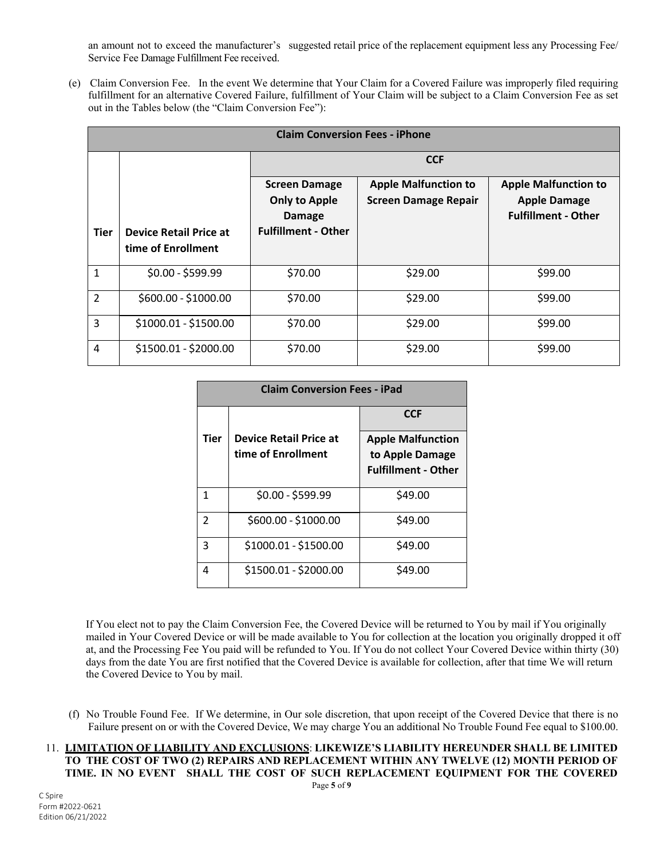an amount not to exceed the manufacturer's suggested retail price of the replacement equipment less any Processing Fee/ Service Fee Damage Fulfillment Fee received.

(e) Claim Conversion Fee. In the event We determine that Your Claim for a Covered Failure was improperly filed requiring fulfillment for an alternative Covered Failure, fulfillment of Your Claim will be subject to a Claim Conversion Fee as set out in the Tables below (the "Claim Conversion Fee"):

| <b>Claim Conversion Fees - iPhone</b> |                                                     |                                                                                             |                                                            |                                                                                  |
|---------------------------------------|-----------------------------------------------------|---------------------------------------------------------------------------------------------|------------------------------------------------------------|----------------------------------------------------------------------------------|
|                                       |                                                     | <b>CCF</b>                                                                                  |                                                            |                                                                                  |
| Tier                                  | <b>Device Retail Price at</b><br>time of Enrollment | <b>Screen Damage</b><br><b>Only to Apple</b><br><b>Damage</b><br><b>Fulfillment - Other</b> | <b>Apple Malfunction to</b><br><b>Screen Damage Repair</b> | <b>Apple Malfunction to</b><br><b>Apple Damage</b><br><b>Fulfillment - Other</b> |
| $\mathbf{1}$                          | $$0.00 - $599.99$                                   | \$70.00                                                                                     | \$29.00                                                    | \$99.00                                                                          |
| $\overline{2}$                        | \$600.00 - \$1000.00                                | \$70.00                                                                                     | \$29.00                                                    | \$99.00                                                                          |
| 3                                     | \$1000.01 - \$1500.00                               | \$70.00                                                                                     | \$29.00                                                    | \$99.00                                                                          |
| 4                                     | \$1500.01 - \$2000.00                               | \$70.00                                                                                     | \$29.00                                                    | \$99.00                                                                          |

| <b>Claim Conversion Fees - iPad</b> |                                                     |                                                                           |  |
|-------------------------------------|-----------------------------------------------------|---------------------------------------------------------------------------|--|
|                                     |                                                     | <b>CCF</b>                                                                |  |
| Tier                                | <b>Device Retail Price at</b><br>time of Enrollment | <b>Apple Malfunction</b><br>to Apple Damage<br><b>Fulfillment - Other</b> |  |
| 1                                   | $$0.00 - $599.99$                                   | \$49.00                                                                   |  |
| $\mathfrak{p}$                      | \$600.00 - \$1000.00                                | \$49.00                                                                   |  |
| 3                                   | \$1000.01 - \$1500.00                               | \$49.00                                                                   |  |
| Δ                                   | \$1500.01 - \$2000.00                               | \$49.00                                                                   |  |

If You elect not to pay the Claim Conversion Fee, the Covered Device will be returned to You by mail if You originally mailed in Your Covered Device or will be made available to You for collection at the location you originally dropped it off at, and the Processing Fee You paid will be refunded to You. If You do not collect Your Covered Device within thirty (30) days from the date You are first notified that the Covered Device is available for collection, after that time We will return the Covered Device to You by mail.

- (f) No Trouble Found Fee. If We determine, in Our sole discretion, that upon receipt of the Covered Device that there is no Failure present on or with the Covered Device, We may charge You an additional No Trouble Found Fee equal to \$100.00.
- Page **5** of **9** 11. **LIMITATION OF LIABILITY AND EXCLUSIONS**: **LIKEWIZE'S LIABILITY HEREUNDER SHALL BE LIMITED TO THE COST OF TWO (2) REPAIRS AND REPLACEMENT WITHIN ANY TWELVE (12) MONTH PERIOD OF TIME. IN NO EVENT SHALL THE COST OF SUCH REPLACEMENT EQUIPMENT FOR THE COVERED**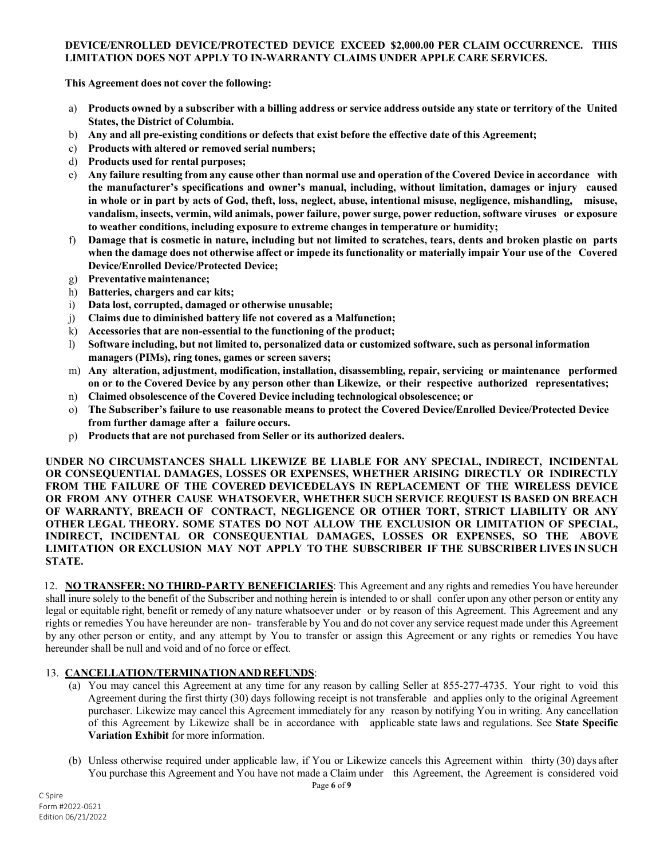### **DEVICE/ENROLLED DEVICE/PROTECTED DEVICE EXCEED \$2,000.00 PER CLAIM OCCURRENCE. THIS LIMITATION DOES NOT APPLY TO IN-WARRANTY CLAIMS UNDER APPLE CARE SERVICES.**

**This Agreement does not cover the following:**

- a) Products owned by a subscriber with a billing address or service address outside any state or territory of the United **States, the District of Columbia.**
- b) **Any and all pre-existing conditions or defects that exist before the effective date of this Agreement;**
- c) **Products with altered or removed serial numbers;**
- d) **Products used for rental purposes;**
- e) Any failure resulting from any cause other than normal use and operation of the Covered Device in accordance with **the manufacturer's specifications and owner's manual, including, without limitation, damages or injury caused** in whole or in part by acts of God, theft, loss, neglect, abuse, intentional misuse, negligence, mishandling, misuse, **vandalism, insects, vermin, wild animals, power failure, power surge, power reduction, software viruses or exposure to weather conditions, including exposure to extreme changes in temperature or humidity;**
- f) Damage that is cosmetic in nature, including but not limited to scratches, tears, dents and broken plastic on parts when the damage does not otherwise affect or impede its functionality or materially impair Your use of the Covered **Device/Enrolled Device/Protected Device;**
- g) **Preventative maintenance;**
- h) **Batteries, chargers and car kits;**
- i) **Data lost, corrupted, damaged or otherwise unusable;**
- j) **Claims due to diminished battery life not covered as a Malfunction;**
- k) **Accessories that are non-essential to the functioning of the product;**
- l) **Software including, but not limited to, personalized data or customized software, such as personal information managers (PIMs), ring tones, games or screen savers;**
- m) **Any alteration, adjustment, modification, installation, disassembling, repair, servicing or maintenance performed on or to the Covered Device by any person other than Likewize, or their respective authorized representatives;**
- n) **Claimed obsolescence of the Covered Device including technological obsolescence; or**
- o) **The Subscriber's failure to use reasonable means to protect the Covered Device/Enrolled Device/Protected Device from further damage after a failure occurs.**
- p) **Products that are not purchased from Seller or its authorized dealers.**

**UNDER NO CIRCUMSTANCES SHALL LIKEWIZE BE LIABLE FOR ANY SPECIAL, INDIRECT, INCIDENTAL OR CONSEQUENTIAL DAMAGES, LOSSES OR EXPENSES, WHETHER ARISING DIRECTLY OR INDIRECTLY FROM THE FAILURE OF THE COVERED DEVICEDELAYS IN REPLACEMENT OF THE WIRELESS DEVICE OR FROM ANY OTHER CAUSE WHATSOEVER, WHETHER SUCH SERVICE REQUEST IS BASED ON BREACH OF WARRANTY, BREACH OF CONTRACT, NEGLIGENCE OR OTHER TORT, STRICT LIABILITY OR ANY OTHER LEGAL THEORY. SOME STATES DO NOT ALLOW THE EXCLUSION OR LIMITATION OF SPECIAL, INDIRECT, INCIDENTAL OR CONSEQUENTIAL DAMAGES, LOSSES OR EXPENSES, SO THE ABOVE LIMITATION OR EXCLUSION MAY NOT APPLY TO THE SUBSCRIBER IF THE SUBSCRIBER LIVES IN SUCH STATE.**

12. **NO TRANSFER; NO THIRD-PARTY BENEFICIARIES**: This Agreement and any rights and remedies You have hereunder shall inure solely to the benefit of the Subscriber and nothing herein is intended to or shall confer upon any other person or entity any legal or equitable right, benefit or remedy of any nature whatsoever under or by reason of this Agreement. This Agreement and any rights or remedies You have hereunder are non- transferable by You and do not cover any service request made under this Agreement by any other person or entity, and any attempt by You to transfer or assign this Agreement or any rights or remedies You have hereunder shall be null and void and of no force or effect.

## 13. **CANCELLATION/TERMINATIONANDREFUNDS**:

- (a) You may cancel this Agreement at any time for any reason by calling Seller at 855-277-4735. Your right to void this Agreement during the first thirty (30) days following receipt is not transferable and applies only to the original Agreement purchaser. Likewize may cancel this Agreement immediately for any reason by notifying You in writing. Any cancellation of this Agreement by Likewize shall be in accordance with applicable state laws and regulations. See **State Specific Variation Exhibit** for more information.
- (b) Unless otherwise required under applicable law, if You or Likewize cancels this Agreement within thirty (30) days after You purchase this Agreement and You have not made a Claim under this Agreement, the Agreement is considered void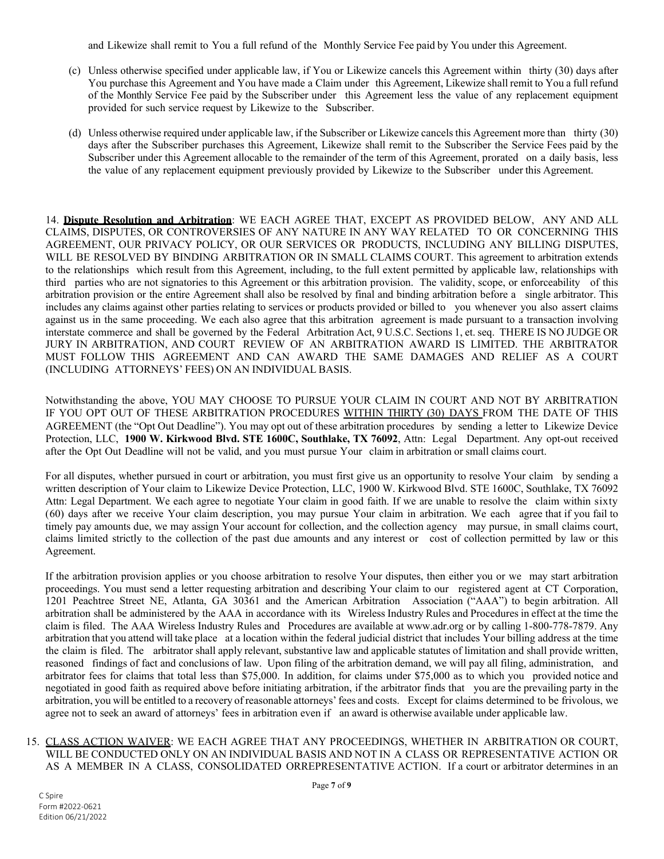and Likewize shall remit to You a full refund of the Monthly Service Fee paid by You under this Agreement.

- (c) Unless otherwise specified under applicable law, if You or Likewize cancels this Agreement within thirty (30) days after You purchase this Agreement and You have made a Claim under this Agreement, Likewize shall remit to You a full refund of the Monthly Service Fee paid by the Subscriber under this Agreement less the value of any replacement equipment provided for such service request by Likewize to the Subscriber.
- (d) Unless otherwise required under applicable law, if the Subscriber or Likewize cancels this Agreement more than thirty (30) days after the Subscriber purchases this Agreement, Likewize shall remit to the Subscriber the Service Fees paid by the Subscriber under this Agreement allocable to the remainder of the term of this Agreement, prorated on a daily basis, less the value of any replacement equipment previously provided by Likewize to the Subscriber under this Agreement.

14. **Dispute Resolution and Arbitration**: WE EACH AGREE THAT, EXCEPT AS PROVIDED BELOW, ANY AND ALL CLAIMS, DISPUTES, OR CONTROVERSIES OF ANY NATURE IN ANY WAY RELATED TO OR CONCERNING THIS AGREEMENT, OUR PRIVACY POLICY, OR OUR SERVICES OR PRODUCTS, INCLUDING ANY BILLING DISPUTES, WILL BE RESOLVED BY BINDING ARBITRATION OR IN SMALL CLAIMS COURT. This agreement to arbitration extends to the relationships which result from this Agreement, including, to the full extent permitted by applicable law, relationships with third parties who are not signatories to this Agreement or this arbitration provision. The validity, scope, or enforceability of this arbitration provision or the entire Agreement shall also be resolved by final and binding arbitration before a single arbitrator. This includes any claims against other parties relating to services or products provided or billed to you whenever you also assert claims against us in the same proceeding. We each also agree that this arbitration agreement is made pursuant to a transaction involving interstate commerce and shall be governed by the Federal Arbitration Act, 9 U.S.C. Sections 1, et. seq. THERE IS NO JUDGE OR JURY IN ARBITRATION, AND COURT REVIEW OF AN ARBITRATION AWARD IS LIMITED. THE ARBITRATOR MUST FOLLOW THIS AGREEMENT AND CAN AWARD THE SAME DAMAGES AND RELIEF AS A COURT (INCLUDING ATTORNEYS' FEES) ON AN INDIVIDUAL BASIS.

Notwithstanding the above, YOU MAY CHOOSE TO PURSUE YOUR CLAIM IN COURT AND NOT BY ARBITRATION IF YOU OPT OUT OF THESE ARBITRATION PROCEDURES WITHIN THIRTY (30) DAYS FROM THE DATE OF THIS AGREEMENT (the "Opt Out Deadline"). You may opt out of these arbitration procedures by sending a letter to Likewize Device Protection, LLC, **1900 W. Kirkwood Blvd. STE 1600C, Southlake, TX 76092**, Attn: Legal Department. Any opt-out received after the Opt Out Deadline will not be valid, and you must pursue Your claim in arbitration or small claims court.

For all disputes, whether pursued in court or arbitration, you must first give us an opportunity to resolve Your claim by sending a written description of Your claim to Likewize Device Protection, LLC, 1900 W. Kirkwood Blvd. STE 1600C, Southlake, TX 76092 Attn: Legal Department. We each agree to negotiate Your claim in good faith. If we are unable to resolve the claim within sixty (60) days after we receive Your claim description, you may pursue Your claim in arbitration. We each agree that if you fail to timely pay amounts due, we may assign Your account for collection, and the collection agency may pursue, in small claims court, claims limited strictly to the collection of the past due amounts and any interest or cost of collection permitted by law or this Agreement.

If the arbitration provision applies or you choose arbitration to resolve Your disputes, then either you or we may start arbitration proceedings. You must send a letter requesting arbitration and describing Your claim to our registered agent at CT Corporation, 1201 Peachtree Street NE, Atlanta, GA 30361 and the American Arbitration Association ("AAA") to begin arbitration. All arbitration shall be administered by the AAA in accordance with its Wireless Industry Rules and Procedures in effect at the time the claim is filed. The AAA Wireless Industry Rules and Procedures are available at [www.adr.org](http://www.adr.org/) or by calling 1-800-778-7879. Any arbitration that you attend will take place at a location within the federal judicial district that includes Your billing address at the time the claim is filed. The arbitrator shall apply relevant, substantive law and applicable statutes of limitation and shall provide written, reasoned findings of fact and conclusions of law. Upon filing of the arbitration demand, we will pay all filing, administration, and arbitrator fees for claims that total less than \$75,000. In addition, for claims under \$75,000 as to which you provided notice and negotiated in good faith as required above before initiating arbitration, if the arbitrator finds that you are the prevailing party in the arbitration, you will be entitled to a recovery of reasonable attorneys' fees and costs. Except for claims determined to be frivolous, we agree not to seek an award of attorneys' fees in arbitration even if an award is otherwise available under applicable law.

### 15. CLASS ACTION WAIVER: WE EACH AGREE THAT ANY PROCEEDINGS, WHETHER IN ARBITRATION OR COURT, WILL BE CONDUCTED ONLY ON AN INDIVIDUAL BASIS AND NOT IN A CLASS OR REPRESENTATIVE ACTION OR AS A MEMBER IN A CLASS, CONSOLIDATED ORREPRESENTATIVE ACTION. If a court or arbitrator determines in an

C Spire Form #2022-0621 Edition 06/21/2022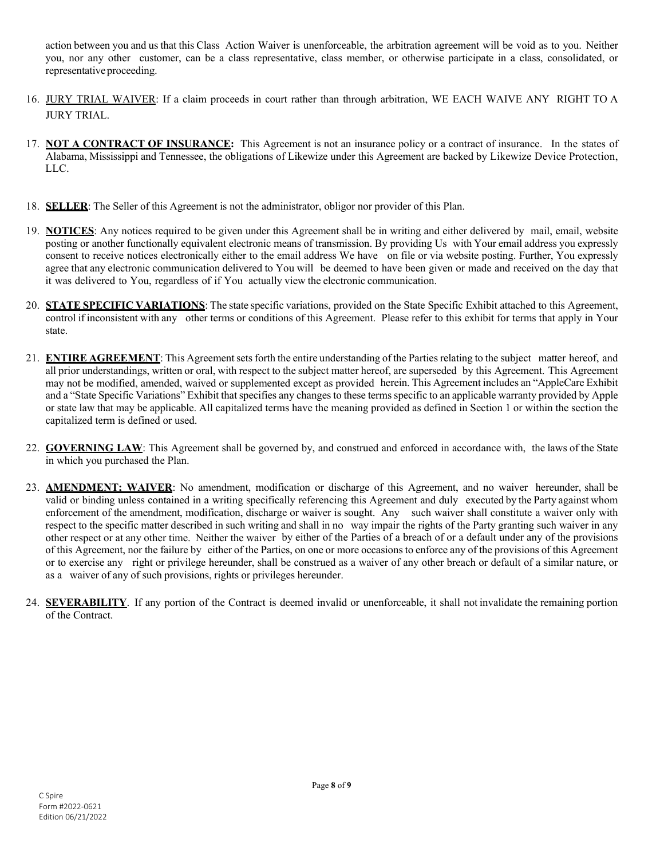action between you and us that this Class Action Waiver is unenforceable, the arbitration agreement will be void as to you. Neither you, nor any other customer, can be a class representative, class member, or otherwise participate in a class, consolidated, or representative proceeding.

- 16. JURY TRIAL WAIVER: If a claim proceeds in court rather than through arbitration, WE EACH WAIVE ANY RIGHT TO A JURY TRIAL.
- 17. **NOT A CONTRACT OF INSURANCE:** This Agreement is not an insurance policy or a contract of insurance. In the states of Alabama, Mississippi and Tennessee, the obligations of Likewize under this Agreement are backed by Likewize Device Protection, LLC.
- 18. **SELLER**: The Seller of this Agreement is not the administrator, obligor nor provider of this Plan.
- 19. **NOTICES**: Any notices required to be given under this Agreement shall be in writing and either delivered by mail, email, website posting or another functionally equivalent electronic means of transmission. By providing Us with Your email address you expressly consent to receive notices electronically either to the email address We have on file or via website posting. Further, You expressly agree that any electronic communication delivered to You will be deemed to have been given or made and received on the day that it was delivered to You, regardless of if You actually view the electronic communication.
- 20. **STATE SPECIFIC VARIATIONS**: The state specific variations, provided on the State Specific Exhibit attached to this Agreement, control if inconsistent with any other terms or conditions of this Agreement. Please refer to this exhibit for terms that apply in Your state.
- 21. **ENTIRE AGREEMENT**: This Agreementsetsforth the entire understanding of the Partiesrelating to the subject matter hereof, and all prior understandings, written or oral, with respect to the subject matter hereof, are superseded by this Agreement. This Agreement may not be modified, amended, waived or supplemented except as provided herein. This Agreement includes an "AppleCare Exhibit and a "State Specific Variations" Exhibit that specifies any changes to these terms specific to an applicable warranty provided by Apple or state law that may be applicable. All capitalized terms have the meaning provided as defined in Section 1 or within the section the capitalized term is defined or used.
- 22. **GOVERNING LAW**: This Agreement shall be governed by, and construed and enforced in accordance with, the laws of the State in which you purchased the Plan.
- 23. **AMENDMENT; WAIVER**: No amendment, modification or discharge of this Agreement, and no waiver hereunder, shall be valid or binding unless contained in a writing specifically referencing this Agreement and duly executed by the Party against whom enforcement of the amendment, modification, discharge or waiver is sought. Any such waiver shall constitute a waiver only with respect to the specific matter described in such writing and shall in no way impair the rights of the Party granting such waiver in any other respect or at any other time. Neither the waiver by either of the Parties of a breach of or a default under any of the provisions of this Agreement, nor the failure by either of the Parties, on one or more occasions to enforce any of the provisions of this Agreement or to exercise any right or privilege hereunder, shall be construed as a waiver of any other breach or default of a similar nature, or as a waiver of any of such provisions, rights or privileges hereunder.
- 24. **SEVERABILITY**. If any portion of the Contract is deemed invalid or unenforceable, it shall not invalidate the remaining portion of the Contract.